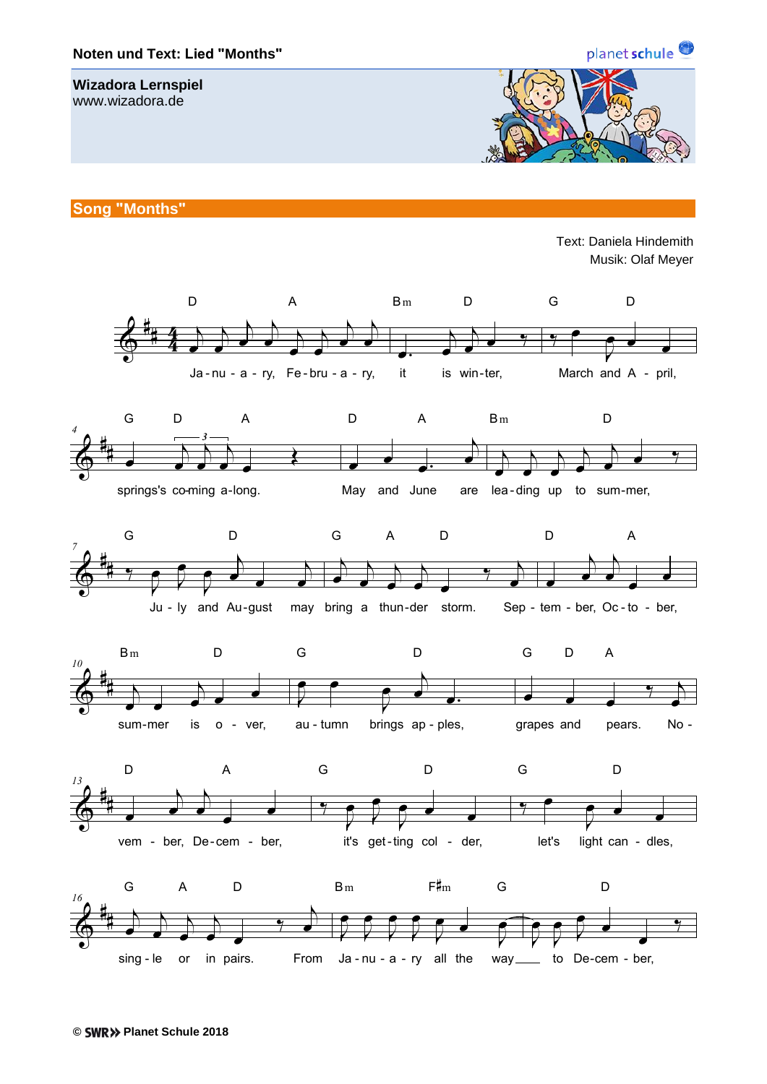

## **Wizadora Lernspiel**

www.wizadora.de



**Song "Months"**